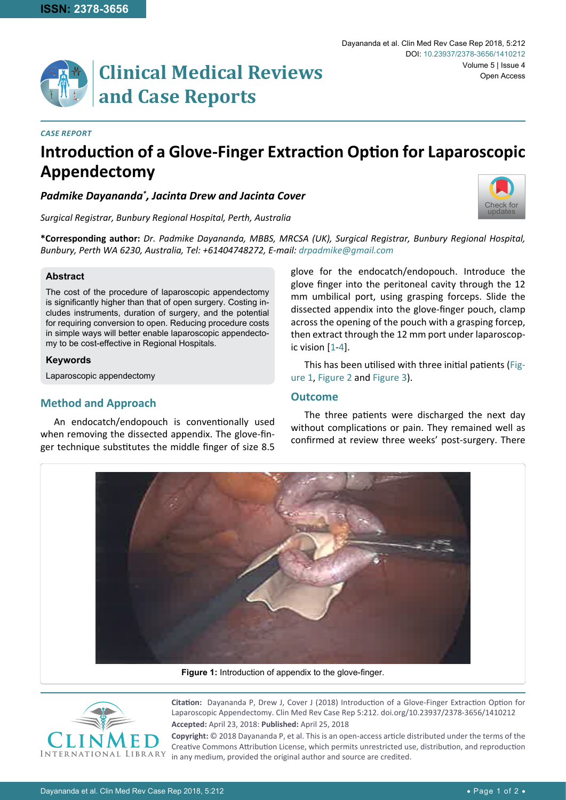

## *Case Report*

# **Introduction of a Glove-Finger Extraction Option for Laparoscopic Appendectomy**

*Padmike Dayananda\* , Jacinta Drew and Jacinta Cover*

*Surgical Registrar, Bunbury Regional Hospital, Perth, Australia*

**\*Corresponding author:** *Dr. Padmike Dayananda, MBBS, MRCSA (UK), Surgical Registrar, Bunbury Regional Hospital, Bunbury, Perth WA 6230, Australia, Tel: +61404748272, E-mail: drpadmike@gmail.com*

## **Abstract**

The cost of the procedure of laparoscopic appendectomy is significantly higher than that of open surgery. Costing includes instruments, duration of surgery, and the potential for requiring conversion to open. Reducing procedure costs in simple ways will better enable laparoscopic appendectomy to be cost-effective in Regional Hospitals.

#### **Keywords**

Laparoscopic appendectomy

# **Method and Approach**

An endocatch/endopouch is conventionally used when removing the dissected appendix. The glove-finger technique substitutes the middle finger of size 8.5

glove for the endocatch/endopouch. Introduce the glove finger into the peritoneal cavity through the 12 mm umbilical port, using grasping forceps. Slide the dissected appendix into the glove-finger pouch, clamp across the opening of the pouch with a grasping forcep, then extract through the 12 mm port under laparoscopic vision [[1](#page-1-0)-[4](#page-1-1)].

This has been utilised with three initial patients ([Fig](#page-0-0)[ure 1](#page-0-0), [Figure 2](#page-1-2) and [Figure 3](#page-1-3)).

# **Outcome**

The three patients were discharged the next day without complications or pain. They remained well as confirmed at review three weeks' post-surgery. There

<span id="page-0-0"></span>

**Figure 1:** Introduction of appendix to the glove-finger.



**Citation:** Dayananda P, Drew J, Cover J (2018) Introduction of a Glove-Finger Extraction Option for Laparoscopic Appendectomy. Clin Med Rev Case Rep 5:212. [doi.org/10.23937/2378-3656/1410212](https://doi.org/10.23937/2378-3656/1410212) **Accepted:** April 23, 2018: **Published:** April 25, 2018

**Copyright:** © 2018 Dayananda P, et al. This is an open-access article distributed under the terms of the Creative Commons Attribution License, which permits unrestricted use, distribution, and reproduction in any medium, provided the original author and source are credited.